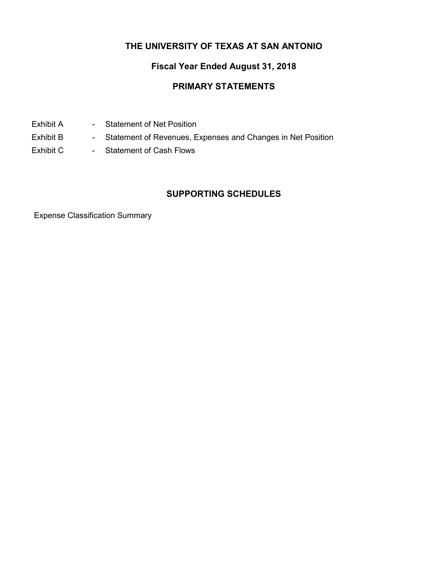## **THE UNIVERSITY OF TEXAS AT SAN ANTONIO**

# **Fiscal Year Ended August 31, 2018**

### **PRIMARY STATEMENTS**

- Exhibit A Statement of Net Position
- Exhibit B Statement of Revenues, Expenses and Changes in Net Position
- Exhibit C Statement of Cash Flows

### **SUPPORTING SCHEDULES**

Expense Classification Summary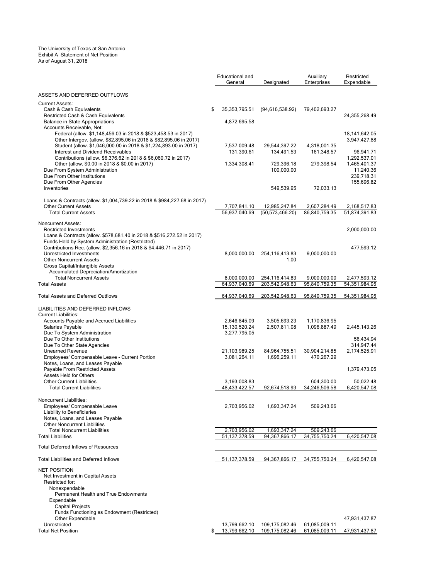#### The University of Texas at San Antonio Exhibit A Statement of Net Position As of August 31, 2018

|                                                                                                                                        | Educational and<br>General    | Designated                       | Auxiliary<br>Enterprises      | Restricted<br>Expendable      |
|----------------------------------------------------------------------------------------------------------------------------------------|-------------------------------|----------------------------------|-------------------------------|-------------------------------|
| ASSETS AND DEFERRED OUTFLOWS                                                                                                           |                               |                                  |                               |                               |
| <b>Current Assets:</b>                                                                                                                 | \$<br>35, 353, 795.51         |                                  |                               |                               |
| Cash & Cash Equivalents<br>Restricted Cash & Cash Equivalents                                                                          |                               | (94,616,538.92)                  | 79,402,693.27                 | 24,355,268.49                 |
| <b>Balance in State Appropriations</b><br>Accounts Receivable, Net:                                                                    | 4,872,695.58                  |                                  |                               |                               |
| Federal (allow. \$1,148,456.03 in 2018 & \$523,458.53 in 2017)                                                                         |                               |                                  |                               | 18, 141, 642. 05              |
| Other Intergov. (allow. \$82,895.06 in 2018 & \$82,895.06 in 2017)<br>Student (allow. \$1,046,000.00 in 2018 & \$1,224,893.00 in 2017) | 7,537,009.48                  | 29,544,397.22                    | 4,318,001.35                  | 3,947,427.88                  |
| Interest and Dividend Receivables                                                                                                      | 131,390.61                    | 134,491.53                       | 161,348.57                    | 96,941.71                     |
| Contributions (allow. \$6,376.62 in 2018 & \$6,060.72 in 2017)<br>Other (allow. \$0.00 in 2018 & \$0.00 in 2017)                       | 1,334,308.41                  | 729,396.18                       | 279,398.54                    | 1,292,537.01<br>1,465,401.37  |
| Due From System Administration                                                                                                         |                               | 100,000.00                       |                               | 11,240.36                     |
| Due From Other Institutions<br>Due From Other Agencies                                                                                 |                               |                                  |                               | 239,718.31<br>155,696.82      |
| Inventories                                                                                                                            |                               | 549,539.95                       | 72,033.13                     |                               |
| Loans & Contracts (allow. \$1,004,739.22 in 2018 & \$984,227.68 in 2017)                                                               |                               |                                  |                               |                               |
| <b>Other Current Assets</b>                                                                                                            | 7,707,841.10                  | 12,985,247.84                    | 2,607,284.49                  | 2,168,517.83                  |
| <b>Total Current Assets</b>                                                                                                            | 56,937,040.69                 | (50, 573, 466.20)                | 86,840,759.35                 | 51,874,391.83                 |
| <b>Noncurrent Assets:</b><br><b>Restricted Investments</b>                                                                             |                               |                                  |                               | 2,000,000.00                  |
| Loans & Contracts (allow. \$578,681.40 in 2018 & \$516,272.52 in 2017)                                                                 |                               |                                  |                               |                               |
| Funds Held by System Administration (Restricted)<br>Contributions Rec. (allow. \$2,356.16 in 2018 & \$4,446.71 in 2017)                |                               |                                  |                               | 477,593.12                    |
| Unrestricted Investments                                                                                                               | 8,000,000.00                  | 254, 116, 413.83                 | 9,000,000.00                  |                               |
| <b>Other Noncurrent Assets</b><br>Gross Capital/Intangible Assets                                                                      |                               | 1.00                             |                               |                               |
| Accumulated Depreciation/Amortization                                                                                                  |                               |                                  |                               |                               |
| <b>Total Noncurrent Assets</b><br><b>Total Assets</b>                                                                                  | 8,000,000.00<br>64.937.040.69 | 254.116.414.83<br>203,542,948.63 | 9,000,000.00<br>95,840,759.35 | 2.477.593.12<br>54,351,984.95 |
|                                                                                                                                        |                               |                                  |                               |                               |
| <b>Total Assets and Deferred Outflows</b>                                                                                              | 64,937,040.69                 | 203,542,948.63                   | 95,840,759.35                 | 54, 351, 984. 95              |
| LIABILITIES AND DEFERRED INFLOWS                                                                                                       |                               |                                  |                               |                               |
| <b>Current Liabilities:</b><br>Accounts Payable and Accrued Liabilities                                                                | 2,646,845.09                  | 3,505,693.23                     | 1,170,836.95                  |                               |
| Salaries Payable                                                                                                                       | 15, 130, 520. 24              | 2,507,811.08                     | 1,096,887.49                  | 2,445,143.26                  |
| Due To System Administration<br>Due To Other Institutions                                                                              | 3,277,795.05                  |                                  |                               | 56,434.94                     |
| Due To Other State Agencies                                                                                                            |                               |                                  |                               | 314,947.44                    |
| <b>Unearned Revenue</b><br>Employees' Compensable Leave - Current Portion                                                              | 21,103,989.25<br>3,081,264.11 | 84,964,755.51<br>1,696,259.11    | 30,904,214.85<br>470,267.29   | 2,174,525.91                  |
| Notes, Loans, and Leases Payable                                                                                                       |                               |                                  |                               |                               |
| Payable From Restricted Assets<br><b>Assets Held for Others</b>                                                                        |                               |                                  |                               | 1,379,473.05                  |
| <b>Other Current Liabilities</b>                                                                                                       | 3,193,008.83                  |                                  | 604,300.00                    | 50,022.48                     |
| <b>Total Current Liabilities</b>                                                                                                       | 48,433,422.57                 | 92,674,518.93                    | 34.246.506.58                 | 6.420.547.08                  |
| Noncurrent Liabilities:                                                                                                                |                               |                                  |                               |                               |
| Employees' Compensable Leave<br>Liability to Beneficiaries                                                                             | 2,703,956.02                  | 1,693,347.24                     | 509,243.66                    |                               |
| Notes, Loans, and Leases Payable                                                                                                       |                               |                                  |                               |                               |
| <b>Other Noncurrent Liabilities</b><br><b>Total Noncurrent Liabilities</b>                                                             | 2,703,956.02                  | 1,693,347.24                     | 509,243.66                    |                               |
| <b>Total Liabilities</b>                                                                                                               | 51, 137, 378.59               | 94,367,866.17                    | 34,755,750.24                 | 6,420,547.08                  |
| <b>Total Deferred Inflows of Resources</b>                                                                                             |                               |                                  |                               |                               |
| <b>Total Liabilities and Deferred Inflows</b>                                                                                          | 51, 137, 378.59               | 94.367.866.17                    | 34,755,750.24                 | 6,420,547.08                  |
| <b>NET POSITION</b>                                                                                                                    |                               |                                  |                               |                               |
| Net Investment in Capital Assets                                                                                                       |                               |                                  |                               |                               |
| Restricted for:<br>Nonexpendable                                                                                                       |                               |                                  |                               |                               |
| Permanent Health and True Endowments                                                                                                   |                               |                                  |                               |                               |
| Expendable<br>Capital Projects                                                                                                         |                               |                                  |                               |                               |
| Funds Functioning as Endowment (Restricted)                                                                                            |                               |                                  |                               |                               |
| <b>Other Expendable</b><br>Unrestricted                                                                                                | 13,799,662.10                 | 109,175,082.46                   | 61,085,009.11                 | 47,931,437.87                 |
|                                                                                                                                        |                               |                                  |                               |                               |

Total Net Position \$ 13,799,662.10 109,175,082.46 61,085,009.11 47,931,437.87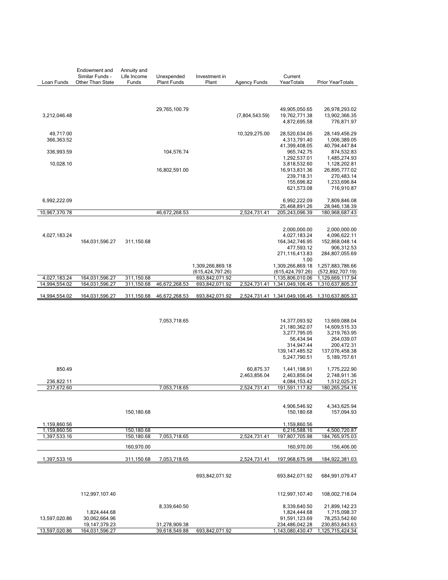|                               | Endowment and<br>Similar Funds - | Annuity and<br>Life Income | Unexpended         | Investment in                    |                     | Current                              |                                                |
|-------------------------------|----------------------------------|----------------------------|--------------------|----------------------------------|---------------------|--------------------------------------|------------------------------------------------|
| Loan Funds                    | Other Than State                 | Funds                      | <b>Plant Funds</b> | Plant                            | <b>Agency Funds</b> | YearTotals                           | Prior YearTotals                               |
|                               |                                  |                            |                    |                                  |                     |                                      |                                                |
|                               |                                  |                            |                    |                                  |                     |                                      |                                                |
|                               |                                  |                            |                    |                                  |                     |                                      |                                                |
|                               |                                  |                            | 29,765,100.79      |                                  |                     | 49,905,050.65<br>19,762,771.38       | 26,978,293.02                                  |
| 3,212,046.48                  |                                  |                            |                    |                                  | (7,804,543.59)      | 4,872,695.58                         | 13,902,366.35<br>776,871.97                    |
|                               |                                  |                            |                    |                                  |                     |                                      |                                                |
| 49,717.00                     |                                  |                            |                    |                                  | 10,329,275.00       | 28,520,634.05                        | 28,149,456.29                                  |
| 366,363.52                    |                                  |                            |                    |                                  |                     | 4,313,791.40                         | 1,006,389.05                                   |
|                               |                                  |                            |                    |                                  |                     | 41,399,408.05<br>965,742.75          | 40,794,447.84                                  |
| 336,993.59                    |                                  |                            | 104,576.74         |                                  |                     | 1,292,537.01                         | 874,532.83<br>1,485,274.93                     |
| 10,028.10                     |                                  |                            |                    |                                  |                     | 3,818,532.60                         | 1,128,202.81                                   |
|                               |                                  |                            | 16,802,591.00      |                                  |                     | 16,913,831.36                        | 26,895,777.02                                  |
|                               |                                  |                            |                    |                                  |                     | 239,718.31                           | 270,483.14                                     |
|                               |                                  |                            |                    |                                  |                     | 155,696.82<br>621,573.08             | 1,233,696.84<br>716,910.87                     |
|                               |                                  |                            |                    |                                  |                     |                                      |                                                |
| 6,992,222.09                  |                                  |                            |                    |                                  |                     | 6,992,222.09                         | 7,809,846.08                                   |
|                               |                                  |                            |                    |                                  |                     | 25,468,891.26                        | 28,946,138.39                                  |
| 10,967,370.78                 |                                  |                            | 46,672,268.53      |                                  | 2,524,731.41        | 205,243,096.39                       | 180,968,687.43                                 |
|                               |                                  |                            |                    |                                  |                     |                                      |                                                |
|                               |                                  |                            |                    |                                  |                     | 2,000,000.00                         | 2,000,000.00                                   |
| 4,027,183.24                  |                                  |                            |                    |                                  |                     | 4,027,183.24                         | 4,096,622.11                                   |
|                               | 164,031,596.27                   | 311,150.68                 |                    |                                  |                     | 164,342,746.95                       | 152,868,048.14                                 |
|                               |                                  |                            |                    |                                  |                     | 477,593.12<br>271,116,413.83         | 906,312.53<br>284,807,055.69                   |
|                               |                                  |                            |                    |                                  |                     | 1.00                                 |                                                |
|                               |                                  |                            |                    | 1,309,266,869.18                 |                     | 1,309,266,869.18                     | 1,257,883,786.66                               |
|                               |                                  |                            |                    | (615, 424, 797.26)               |                     | (615, 424, 797.26)                   | (572, 892, 707.19)                             |
| 4,027,183.24<br>14,994,554.02 | 164,031,596.27<br>164,031,596.27 | 311,150.68<br>311,150.68   | 46,672,268.53      | 693,842,071.92<br>693,842,071.92 | 2,524,731.41        | 1,135,806,010.06<br>1,341,049,106.45 | 1,129,669,117.94<br>1,310,637,805.37           |
|                               |                                  |                            |                    |                                  |                     |                                      |                                                |
| 14,994,554.02                 | 164,031,596.27                   | 311,150.68                 | 46,672,268.53      | 693,842,071.92                   |                     |                                      | 2,524,731.41 1,341,049,106.45 1,310,637,805.37 |
|                               |                                  |                            |                    |                                  |                     |                                      |                                                |
|                               |                                  |                            |                    |                                  |                     |                                      |                                                |
|                               |                                  |                            | 7,053,718.65       |                                  |                     | 14,377,093.92                        | 13,669,088.04                                  |
|                               |                                  |                            |                    |                                  |                     | 21,180,362.07                        | 14,609,515.33                                  |
|                               |                                  |                            |                    |                                  |                     | 3,277,795.05                         | 3,219,763.95                                   |
|                               |                                  |                            |                    |                                  |                     | 56,434.94                            | 264,039.07                                     |
|                               |                                  |                            |                    |                                  |                     | 314,947.44                           | 200,472.31                                     |
|                               |                                  |                            |                    |                                  |                     | 139, 147, 485.52<br>5,247,790.51     | 137,076,458.38<br>5,189,757.61                 |
|                               |                                  |                            |                    |                                  |                     |                                      |                                                |
| 850.49                        |                                  |                            |                    |                                  | 60,875.37           | 1,441,198.91                         | 1,775,222.90                                   |
|                               |                                  |                            |                    |                                  | 2,463,856.04        | 2,463,856.04                         | 2,748,911.36                                   |
| 236,822.11                    |                                  |                            |                    |                                  |                     | 4,084,153.42                         | 1,512,025.21                                   |
| 237,672.60                    |                                  |                            | 7,053,718.65       |                                  | 2,524,731.41        | 191,591,117.82                       | 180,265,254.16                                 |
|                               |                                  |                            |                    |                                  |                     |                                      |                                                |
|                               |                                  |                            |                    |                                  |                     | 4,906,546.92                         | 4,343,625.94                                   |
|                               |                                  | 150,180.68                 |                    |                                  |                     | 150,180.68                           | 157,094.93                                     |
| 1,159,860.56                  |                                  |                            |                    |                                  |                     | 1,159,860.56                         |                                                |
| 1,159,860.56                  |                                  | 150,180.68                 |                    |                                  |                     | 6,216,588.16                         | 4,500,720.87                                   |
| 1,397,533.16                  |                                  | 150,180.68                 | 7,053,718.65       |                                  | 2,524,731.41        | 197,807,705.98                       | 184,765,975.03                                 |
|                               |                                  | 160,970.00                 |                    |                                  |                     | 160,970.00                           | 156,406.00                                     |
|                               |                                  |                            |                    |                                  |                     |                                      |                                                |
| 1,397,533.16                  |                                  | 311,150.68                 | 7,053,718.65       |                                  | 2,524,731.41        | 197,968,675.98                       | 184,922,381.03                                 |
|                               |                                  |                            |                    |                                  |                     |                                      |                                                |
|                               |                                  |                            |                    | 693,842,071.92                   |                     | 693,842,071.92                       | 684,991,079.47                                 |
|                               |                                  |                            |                    |                                  |                     |                                      |                                                |
|                               |                                  |                            |                    |                                  |                     |                                      |                                                |
|                               | 112,997,107.40                   |                            |                    |                                  |                     | 112,997,107.40                       | 108,002,718.04                                 |
|                               |                                  |                            | 8,339,640.50       |                                  |                     | 8,339,640.50                         | 21,899,142.23                                  |
|                               | 1,824,444.68                     |                            |                    |                                  |                     | 1,824,444.68                         | 1,715,098.37                                   |
| 13,597,020.86                 | 30,062,664.96                    |                            |                    |                                  |                     | 91,591,123.69                        | 78,253,542.60                                  |
|                               | 19, 147, 379. 23                 |                            | 31,278,909.38      |                                  |                     | 234,486,042.28                       | 230,853,843.63                                 |
| 13,597,020.86                 | 164,031,596.27                   |                            | 39,618,549.88      | 693,842,071.92                   |                     | 1,143,080,430.47                     | 1,125,715,424.34                               |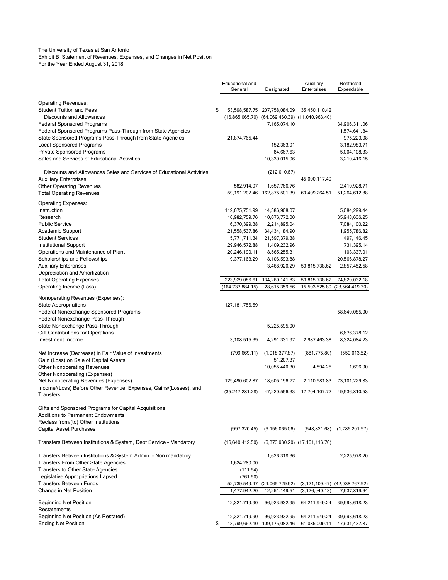#### The University of Texas at San Antonio

Exhibit B Statement of Revenues, Expenses, and Changes in Net Position For the Year Ended August 31, 2018

|                                                                                                           | Educational and<br>General | Designated                                            | Auxiliary<br>Enterprises           | Restricted<br>Expendable               |
|-----------------------------------------------------------------------------------------------------------|----------------------------|-------------------------------------------------------|------------------------------------|----------------------------------------|
| <b>Operating Revenues:</b>                                                                                |                            |                                                       |                                    |                                        |
| <b>Student Tuition and Fees</b>                                                                           | \$                         | 53,598,587.75 207,758,084.09                          | 35,450,110.42                      |                                        |
| <b>Discounts and Allowances</b>                                                                           |                            | $(16,865,065.70)$ $(64,069,460.39)$ $(11,040,963.40)$ |                                    |                                        |
| <b>Federal Sponsored Programs</b>                                                                         |                            | 7,165,074.10                                          |                                    | 34,906,311.06                          |
| Federal Sponsored Programs Pass-Through from State Agencies                                               |                            |                                                       |                                    | 1,574,641.84                           |
| State Sponsored Programs Pass-Through from State Agencies                                                 | 21,874,765.44              |                                                       |                                    | 975,223.08                             |
| Local Sponsored Programs                                                                                  |                            | 152,363.91                                            |                                    | 3, 182, 983. 71                        |
| <b>Private Sponsored Programs</b>                                                                         |                            | 84,667.63                                             |                                    | 5,004,108.33                           |
| Sales and Services of Educational Activities                                                              |                            | 10,339,015.96                                         |                                    | 3,210,416.15                           |
| Discounts and Allowances Sales and Services of Educational Activities                                     |                            | (212,010.67)                                          |                                    |                                        |
| <b>Auxiliary Enterprises</b>                                                                              |                            |                                                       | 45,000,117.49                      |                                        |
| <b>Other Operating Revenues</b>                                                                           | 582,914.97                 | 1,657,766.76                                          |                                    | 2,410,928.71                           |
| <b>Total Operating Revenues</b>                                                                           | 59,191,202.46              | 162,875,501.39                                        | 69,409,264.51                      | 51,264,612.88                          |
| Operating Expenses:                                                                                       |                            |                                                       |                                    |                                        |
| Instruction                                                                                               | 119,675,751.99             | 14,386,908.07                                         |                                    | 5,084,299.44                           |
| Research                                                                                                  | 10,982,759.76              | 10,076,772.00                                         |                                    | 35,948,636.25                          |
| <b>Public Service</b>                                                                                     | 6,370,399.38               | 2,214,895.04                                          |                                    | 7,084,100.22                           |
| Academic Support                                                                                          | 21,558,537.86              | 34,434,184.90                                         |                                    | 1,955,786.82                           |
| <b>Student Services</b>                                                                                   | 5,771,711.34               | 21,597,379.38                                         |                                    | 497, 146.45                            |
| <b>Institutional Support</b>                                                                              | 29,946,572.88              | 11,409,232.96                                         |                                    | 731,395.14                             |
| Operations and Maintenance of Plant                                                                       | 20,246,190.11              | 18,565,255.31                                         |                                    | 103,337.01                             |
| Scholarships and Fellowships                                                                              | 9,377,163.29               | 18,106,593.88                                         |                                    | 20,566,878.27                          |
| Auxiliary Enterprises                                                                                     |                            | 3,468,920.29                                          | 53,815,738.62                      | 2,857,452.58                           |
| Depreciation and Amortization                                                                             |                            |                                                       |                                    |                                        |
| <b>Total Operating Expenses</b>                                                                           | 223,929,086.61             | 134,260,141.83                                        | 53,815,738.62                      | 74,829,032.18                          |
| Operating Income (Loss)                                                                                   | (164, 737, 884.15)         | 28,615,359.56                                         | 15,593,525.89                      | (23,564,419.30)                        |
| Nonoperating Revenues (Expenses):                                                                         |                            |                                                       |                                    |                                        |
| <b>State Appropriations</b>                                                                               | 127, 181, 756.59           |                                                       |                                    |                                        |
| Federal Nonexchange Sponsored Programs                                                                    |                            |                                                       |                                    | 58,649,085.00                          |
| Federal Nonexchange Pass-Through                                                                          |                            |                                                       |                                    |                                        |
| State Nonexchange Pass-Through                                                                            |                            | 5,225,595.00                                          |                                    |                                        |
| Gift Contributions for Operations                                                                         |                            |                                                       |                                    | 6,676,378.12                           |
| Investment Income                                                                                         | 3,108,515.39               | 4,291,331.97                                          | 2,987,463.38                       | 8,324,084.23                           |
|                                                                                                           |                            |                                                       |                                    |                                        |
| Net Increase (Decrease) in Fair Value of Investments                                                      | (799, 669.11)              | (1,018,377.87)                                        | (881,775.80)                       | (550, 013.52)                          |
| Gain (Loss) on Sale of Capital Assets                                                                     |                            | 51,207.37                                             |                                    |                                        |
| Other Nonoperating Revenues                                                                               |                            | 10,055,440.30                                         | 4,894.25                           | 1,696.00                               |
| Other Nonoperating (Expenses)                                                                             |                            |                                                       |                                    |                                        |
| Net Nonoperating Revenues (Expenses)<br>Income/(Loss) Before Other Revenue, Expenses, Gains/(Losses), and | 129,490,602.87             | 18,605,196.77                                         | 2,110,581.83                       | 73,101,229.83                          |
| <b>Transfers</b>                                                                                          | (35, 247, 281.28)          | 47,220,556.33                                         | 17,704,107.72                      | 49,536,810.53                          |
| Gifts and Sponsored Programs for Capital Acquisitions                                                     |                            |                                                       |                                    |                                        |
| Additions to Permanent Endowments                                                                         |                            |                                                       |                                    |                                        |
| Reclass from/(to) Other Institutions                                                                      |                            |                                                       |                                    |                                        |
| Capital Asset Purchases                                                                                   | (997, 320.45)              | (6, 156, 065.06)                                      | (548, 821.68)                      | (1,786,201.57)                         |
| Transfers Between Institutions & System, Debt Service - Mandatory                                         | (16,640,412.50)            |                                                       | $(6,373,930.20)$ $(17,161,116.70)$ |                                        |
| Transfers Between Institutions & System Admin. - Non mandatory                                            |                            | 1,626,318.36                                          |                                    | 2,225,978.20                           |
| <b>Transfers From Other State Agencies</b>                                                                | 1,624,280.00               |                                                       |                                    |                                        |
| <b>Transfers to Other State Agencies</b>                                                                  | (111.54)                   |                                                       |                                    |                                        |
| Legislative Appropriations Lapsed                                                                         | (761.50)                   |                                                       |                                    |                                        |
| <b>Transfers Between Funds</b>                                                                            | 52,739,549.47              | (24,065,729.92)                                       |                                    | $(3, 121, 109.47)$ $(42, 038, 767.52)$ |
| Change in Net Position                                                                                    | 1,477,942.20               | 12,251,149.51                                         | (3, 126, 940.13)                   | 7,937,819.64                           |
| Beginning Net Position                                                                                    | 12,321,719.90              | 96,923,932.95                                         | 64,211,949.24                      | 39,993,618.23                          |
| Restatements                                                                                              |                            |                                                       |                                    |                                        |
| Beginning Net Position (As Restated)                                                                      | 12,321,719.90              | 96,923,932.95                                         | 64,211,949.24                      | 39,993,618.23                          |
| <b>Ending Net Position</b>                                                                                | \$<br>13,799,662.10        | 109,175,082.46                                        | 61,085,009.11                      | 47,931,437.87                          |
|                                                                                                           |                            |                                                       |                                    |                                        |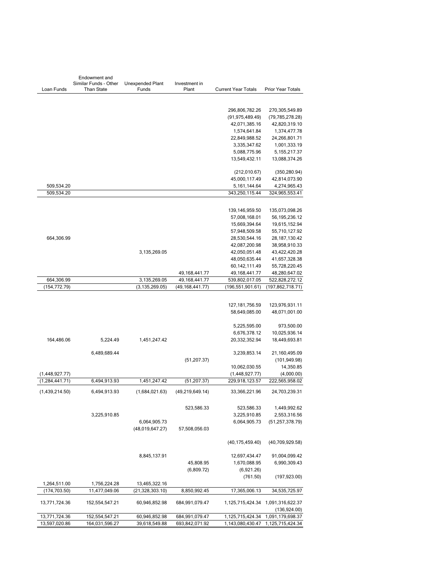|                  | Endowment and                              |                           |                        |                            |                                   |
|------------------|--------------------------------------------|---------------------------|------------------------|----------------------------|-----------------------------------|
| Loan Funds       | Similar Funds - Other<br><b>Than State</b> | Unexpended Plant<br>Funds | Investment in<br>Plant | <b>Current Year Totals</b> | Prior Year Totals                 |
|                  |                                            |                           |                        |                            |                                   |
|                  |                                            |                           |                        |                            |                                   |
|                  |                                            |                           |                        | 296,806,782.26             | 270,305,549.89                    |
|                  |                                            |                           |                        | (91, 975, 489.49)          | (79, 785, 278.28)                 |
|                  |                                            |                           |                        | 42,071,385.16              | 42,820,319.10                     |
|                  |                                            |                           |                        | 1,574,641.84               | 1,374,477.78                      |
|                  |                                            |                           |                        | 22,849,988.52              | 24,266,801.71                     |
|                  |                                            |                           |                        | 3,335,347.62               | 1,001,333.19                      |
|                  |                                            |                           |                        | 5,088,775.96               | 5, 155, 217. 37                   |
|                  |                                            |                           |                        | 13,549,432.11              |                                   |
|                  |                                            |                           |                        |                            | 13,088,374.26                     |
|                  |                                            |                           |                        | (212,010.67)               | (350, 280.94)                     |
|                  |                                            |                           |                        | 45,000,117.49              | 42,814,073.90                     |
| 509,534.20       |                                            |                           |                        | 5, 161, 144. 64            | 4,274,965.43                      |
| 509,534.20       |                                            |                           |                        | 343,250,115.44             | 324,965,553.41                    |
|                  |                                            |                           |                        |                            |                                   |
|                  |                                            |                           |                        |                            |                                   |
|                  |                                            |                           |                        | 139, 146, 959.50           | 135,073,098.26                    |
|                  |                                            |                           |                        | 57,008,168.01              | 56, 195, 236. 12                  |
|                  |                                            |                           |                        | 15,669,394.64              | 19,615,152.94                     |
|                  |                                            |                           |                        | 57,948,509.58              | 55,710,127.92                     |
| 664,306.99       |                                            |                           |                        | 28,530,544.16              | 28, 187, 130.42                   |
|                  |                                            |                           |                        | 42,087,200.98              | 38,958,910.33                     |
|                  |                                            | 3,135,269.05              |                        | 42,050,051.48              | 43,422,420.28                     |
|                  |                                            |                           |                        | 48,050,635.44              | 41,657,328.38                     |
|                  |                                            |                           |                        | 60, 142, 111.49            | 55,728,220.45                     |
|                  |                                            |                           | 49,168,441.77          | 49, 168, 441. 77           | 48,280,647.02                     |
| 664,306.99       |                                            | 3,135,269.05              | 49,168,441.77          | 539,802,017.05             | 522,828,272.12                    |
| (154, 772.79)    |                                            | (3, 135, 269.05)          | (49, 168, 441.77)      | (196, 551, 901.61)         | (197, 862, 718.71)                |
|                  |                                            |                           |                        |                            |                                   |
|                  |                                            |                           |                        | 127, 181, 756.59           | 123,976,931.11                    |
|                  |                                            |                           |                        | 58,649,085.00              | 48,071,001.00                     |
|                  |                                            |                           |                        |                            |                                   |
|                  |                                            |                           |                        | 5,225,595.00               | 973,500.00                        |
|                  |                                            |                           |                        | 6,676,378.12               | 10,025,936.14                     |
| 164,486.06       | 5,224.49                                   | 1,451,247.42              |                        | 20,332,352.94              | 18,449,693.81                     |
|                  |                                            |                           |                        |                            |                                   |
|                  | 6,489,689.44                               |                           |                        | 3,239,853.14               | 21,160,495.09                     |
|                  |                                            |                           | (51, 207.37)           |                            | (101, 949.98)                     |
|                  |                                            |                           |                        | 10,062,030.55              | 14,350.85                         |
| (1,448,927.77)   |                                            |                           |                        | (1,448,927.77)             | (4,000.00)                        |
| (1, 284, 441.71) | 6,494,913.93                               | 1,451,247.42              | (51, 207.37)           | 229,918,123.57             | 222,565,958.02                    |
|                  |                                            |                           |                        |                            |                                   |
| (1,439,214.50)   | 6,494,913.93                               | (1,684,021.63)            | (49, 219, 649.14)      | 33,366,221.96              | 24,703,239.31                     |
|                  |                                            |                           |                        |                            |                                   |
|                  |                                            |                           | 523,586.33             | 523,586.33                 | 1,449,992.62                      |
|                  | 3,225,910.85                               |                           |                        | 3,225,910.85               | 2,553,316.56                      |
|                  |                                            | 6,064,905.73              |                        | 6,064,905.73               | (51, 257, 378.79)                 |
|                  |                                            | (48,019,647.27)           | 57,508,056.03          |                            |                                   |
|                  |                                            |                           |                        |                            |                                   |
|                  |                                            |                           |                        | (40, 175, 459.40)          | (40,709,929.58)                   |
|                  |                                            |                           |                        |                            |                                   |
|                  |                                            | 8,845,137.91              |                        | 12,697,434.47              | 91,004,099.42                     |
|                  |                                            |                           | 45,808.95              | 1,670,088.95               | 6,990,309.43                      |
|                  |                                            |                           | (6,809.72)             | (6,921.26)                 |                                   |
|                  |                                            |                           |                        | (761.50)                   | (197, 923.00)                     |
| 1,264,511.00     | 1,756,224.28                               | 13,465,322.16             |                        |                            |                                   |
| (174, 703.50)    | 11,477,049.06                              | (21, 328, 303.10)         | 8,850,992.45           | 17,365,006.13              | 34,535,725.97                     |
|                  |                                            |                           |                        |                            |                                   |
| 13,771,724.36    | 152,554,547.21                             | 60,946,852.98             | 684,991,079.47         |                            | 1,125,715,424.34 1,091,316,622.37 |
|                  |                                            |                           |                        |                            | (136, 924.00)                     |
| 13,771,724.36    | 152,554,547.21                             | 60,946,852.98             | 684,991,079.47         | 1,125,715,424.34           | 1,091,179,698.37                  |
| 13,597,020.86    | 164,031,596.27                             | 39,618,549.88             | 693,842,071.92         | 1,143,080,430.47           | 1,125,715,424.34                  |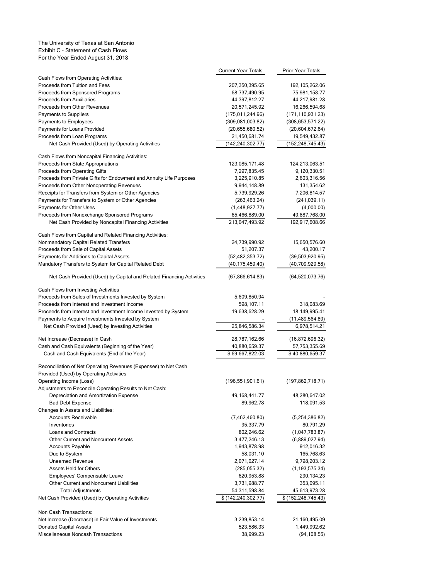#### The University of Texas at San Antonio Exhibit C - Statement of Cash Flows For the Year Ended August 31, 2018

|                                                                                                            | <b>Current Year Totals</b>          | <b>Prior Year Totals</b>          |
|------------------------------------------------------------------------------------------------------------|-------------------------------------|-----------------------------------|
| Cash Flows from Operating Activities:                                                                      |                                     |                                   |
| Proceeds from Tuition and Fees                                                                             | 207,350,395.65                      | 192, 105, 262.06                  |
| Proceeds from Sponsored Programs                                                                           | 68,737,490.95                       | 75,981,158.77                     |
| Proceeds from Auxiliaries<br>Proceeds from Other Revenues                                                  | 44,397,812.27                       | 44,217,981.28<br>16,266,594.68    |
| <b>Payments to Suppliers</b>                                                                               | 20,571,245.92<br>(175, 011, 244.96) | (171, 110, 931.23)                |
| Payments to Employees                                                                                      | (309,081,003.82)                    | (308, 653, 571.22)                |
| Payments for Loans Provided                                                                                | (20,655,680.52)                     | (20,604,672.64)                   |
| Proceeds from Loan Programs                                                                                | 21,450,681.74                       | 19,549,432.87                     |
| Net Cash Provided (Used) by Operating Activities                                                           | (142, 240, 302.77)                  | (152, 248, 745.43)                |
| Cash Flows from Noncapital Financing Activities:                                                           |                                     |                                   |
| Proceeds from State Appropriations                                                                         | 123,085,171.48                      | 124,213,063.51                    |
| Proceeds from Operating Gifts                                                                              | 7,297,835.45                        | 9,120,330.51                      |
| Proceeds from Private Gifts for Endowment and Annuity Life Purposes                                        | 3,225,910.85                        | 2,603,316.56                      |
| Proceeds from Other Nonoperating Revenues                                                                  | 9,944,148.89                        | 131,354.62                        |
| Receipts for Transfers from System or Other Agencies                                                       | 5,739,929.26                        | 7,206,814.57                      |
| Payments for Transfers to System or Other Agencies                                                         | (263, 463.24)                       | (241, 039.11)                     |
| Payments for Other Uses                                                                                    | (1,448,927.77)                      | (4,000.00)                        |
| Proceeds from Nonexchange Sponsored Programs                                                               | 65,466,889.00                       | 49,887,768.00                     |
| Net Cash Provided by Noncapital Financing Activities                                                       | 213,047,493.92                      | 192,917,608.66                    |
| Cash Flows from Capital and Related Financing Activities:                                                  |                                     |                                   |
| Nonmandatory Capital Related Transfers                                                                     | 24,739,990.92                       | 15,650,576.60                     |
| Proceeds from Sale of Capital Assets                                                                       | 51,207.37                           | 43,200.17                         |
| Payments for Additions to Capital Assets                                                                   | (52, 482, 353.72)                   | (39,503,920.95)                   |
| Mandatory Transfers to System for Capital Related Debt                                                     | (40, 175, 459.40)                   | (40,709,929.58)                   |
| Net Cash Provided (Used) by Capital and Related Financing Activities                                       | (67,866,614.83)                     | (64, 520, 073.76)                 |
| Cash Flows from Investing Activities                                                                       |                                     |                                   |
| Proceeds from Sales of Investments Invested by System                                                      | 5,609,850.94                        |                                   |
| Proceeds from Interest and Investment Income                                                               | 598,107.11                          | 318,083.69                        |
| Proceeds from Interest and Investment Income Invested by System                                            | 19,638,628.29                       | 18,149,995.41                     |
| Payments to Acquire Investments Invested by System<br>Net Cash Provided (Used) by Investing Activities     | 25,846,586.34                       | (11, 489, 564.89)<br>6,978,514.21 |
|                                                                                                            |                                     |                                   |
| Net Increase (Decrease) in Cash                                                                            | 28,787,162.66                       | (16,872,696.32)                   |
| Cash and Cash Equivalents (Beginning of the Year)<br>Cash and Cash Equivalents (End of the Year)           | 40,880,659.37<br>\$69,667,822.03    | 57,753,355.69<br>\$40,880,659.37  |
| Reconciliation of Net Operating Revenues (Expenses) to Net Cash<br>Provided (Used) by Operating Activities |                                     |                                   |
| Operating Income (Loss)                                                                                    | (196, 551, 901.61)                  | (197,862,718.71)                  |
| Adjustments to Reconcile Operating Results to Net Cash:                                                    |                                     |                                   |
| Depreciation and Amortization Expense                                                                      | 49, 168, 441. 77                    | 48,280,647.02                     |
| <b>Bad Debt Expense</b>                                                                                    | 89,962.78                           | 118,091.53                        |
| Changes in Assets and Liabilities:                                                                         |                                     |                                   |
| <b>Accounts Receivable</b><br>Inventories                                                                  | (7,462,460.80)                      | (5,254,386.82)<br>80,791.29       |
| Loans and Contracts                                                                                        | 95,337.79<br>802,246.62             |                                   |
| Other Current and Noncurrent Assets                                                                        | 3,477,246.13                        | (1,047,783.87)<br>(6,889,027.94)  |
| <b>Accounts Payable</b>                                                                                    | 1,943,878.98                        | 912,016.32                        |
| Due to System                                                                                              | 58,031.10                           | 165,768.63                        |
| <b>Unearned Revenue</b>                                                                                    | 2,071,027.14                        | 9,798,203.12                      |
| <b>Assets Held for Others</b>                                                                              | (285,055.32)                        | (1, 193, 575.34)                  |
| Employees' Compensable Leave                                                                               | 620,953.88                          | 290,134.23                        |
| Other Current and Noncurrent Liabilities                                                                   | 3,731,988.77                        | 353,095.11                        |
| <b>Total Adjustments</b>                                                                                   | 54,311,598.84                       | 45,613,973.28                     |
| Net Cash Provided (Used) by Operating Activities                                                           | \$(142,240,302.77)                  | \$ (152, 248, 745.43)             |
| Non Cash Transactions:                                                                                     |                                     |                                   |
| Net Increase (Decrease) in Fair Value of Investments                                                       | 3,239,853.14                        | 21,160,495.09                     |
| <b>Donated Capital Assets</b>                                                                              | 523,586.33                          | 1,449,992.62                      |
| Miscellaneous Noncash Transactions                                                                         | 38,999.23                           | (94,108.55)                       |